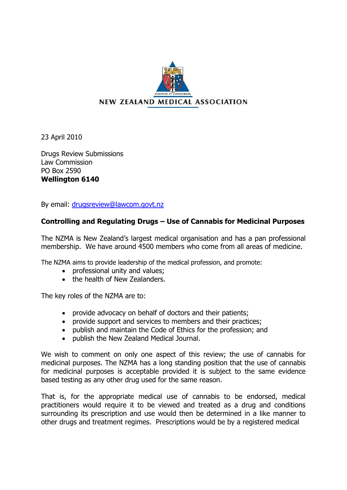

23 April 2010

Drugs Review Submissions Law Commission PO Box 2590 **Wellington 6140**

By email: [drugsreview@lawcom.govt.nz](mailto:drugsreview@lawcom.govt.nz)

## **Controlling and Regulating Drugs – Use of Cannabis for Medicinal Purposes**

The NZMA is New Zealand's largest medical organisation and has a pan professional membership. We have around 4500 members who come from all areas of medicine.

The NZMA aims to provide leadership of the medical profession, and promote:

- professional unity and values;
- the health of New Zealanders.

The key roles of the NZMA are to:

- provide advocacy on behalf of doctors and their patients;
- provide support and services to members and their practices;
- publish and maintain the Code of Ethics for the profession; and
- publish the New Zealand Medical Journal.

We wish to comment on only one aspect of this review; the use of cannabis for medicinal purposes. The NZMA has a long standing position that the use of cannabis for medicinal purposes is acceptable provided it is subject to the same evidence based testing as any other drug used for the same reason.

That is, for the appropriate medical use of cannabis to be endorsed, medical practitioners would require it to be viewed and treated as a drug and conditions surrounding its prescription and use would then be determined in a like manner to other drugs and treatment regimes. Prescriptions would be by a registered medical